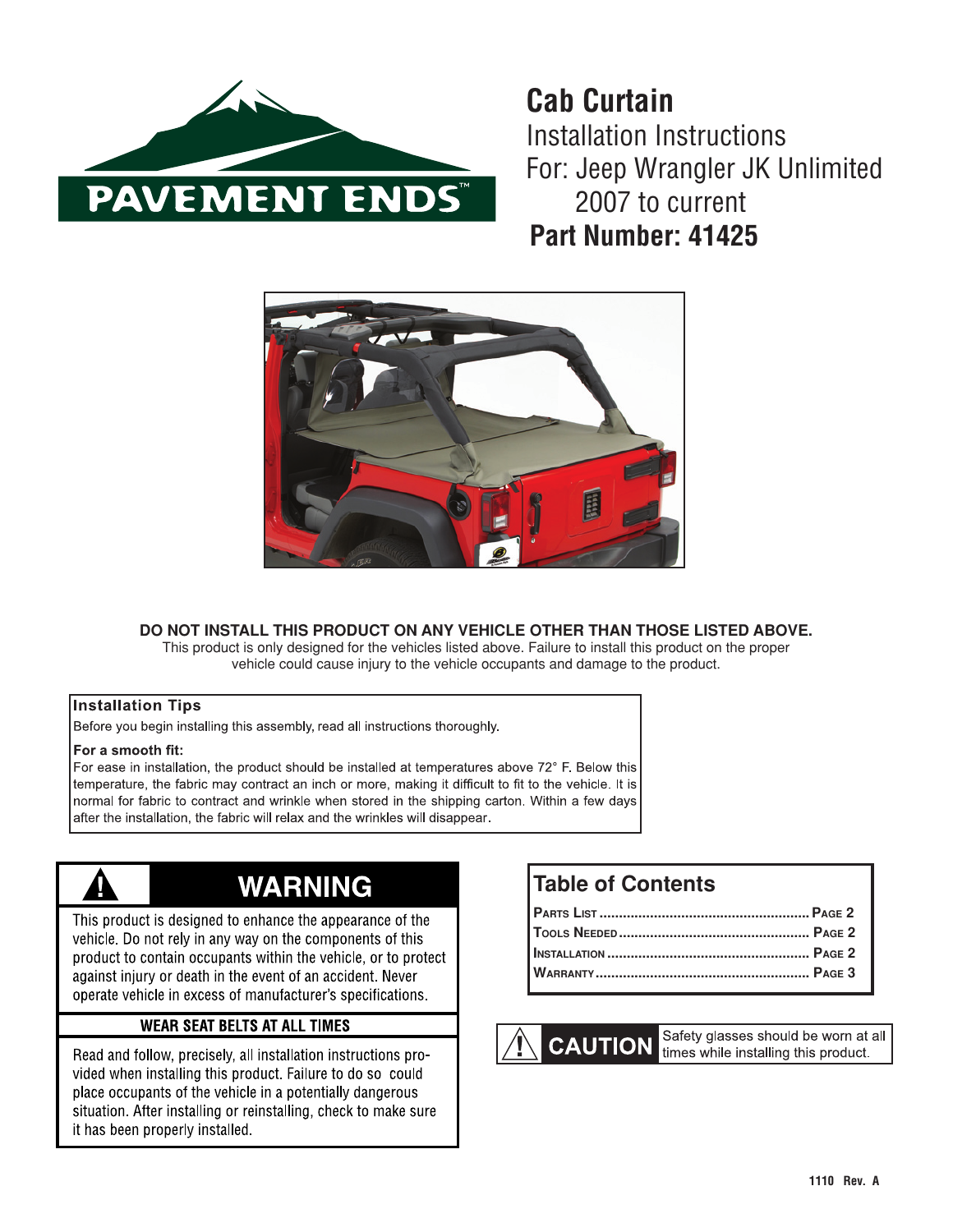

**Cab Curtain** Installation Instructions For: Jeep Wrangler JK Unlimited 2007 to current **Part Number: 41425**



### **DO NOT INSTALL THIS PRODUCT ON ANY VEHICLE OTHER THAN THOSE LISTED ABOVE.**

This product is only designed for the vehicles listed above. Failure to install this product on the proper vehicle could cause injury to the vehicle occupants and damage to the product.

#### **Installation Tips**

Before you begin installing this assembly, read all instructions thoroughly.

#### For a smooth fit:

For ease in installation, the product should be installed at temperatures above 72° F. Below this temperature, the fabric may contract an inch or more, making it difficult to fit to the vehicle. It is normal for fabric to contract and wrinkle when stored in the shipping carton. Within a few days after the installation, the fabric will relax and the wrinkles will disappear.



# **WARNING**

This product is designed to enhance the appearance of the vehicle. Do not rely in any way on the components of this product to contain occupants within the vehicle, or to protect against injury or death in the event of an accident. Never operate vehicle in excess of manufacturer's specifications.

### **WEAR SEAT BELTS AT ALL TIMES**

Read and follow, precisely, all installation instructions provided when installing this product. Failure to do so could place occupants of the vehicle in a potentially dangerous situation. After installing or reinstalling, check to make sure it has been properly installed.

## **Table of Contents**



Safety glasses should be worn at all times while installing this product.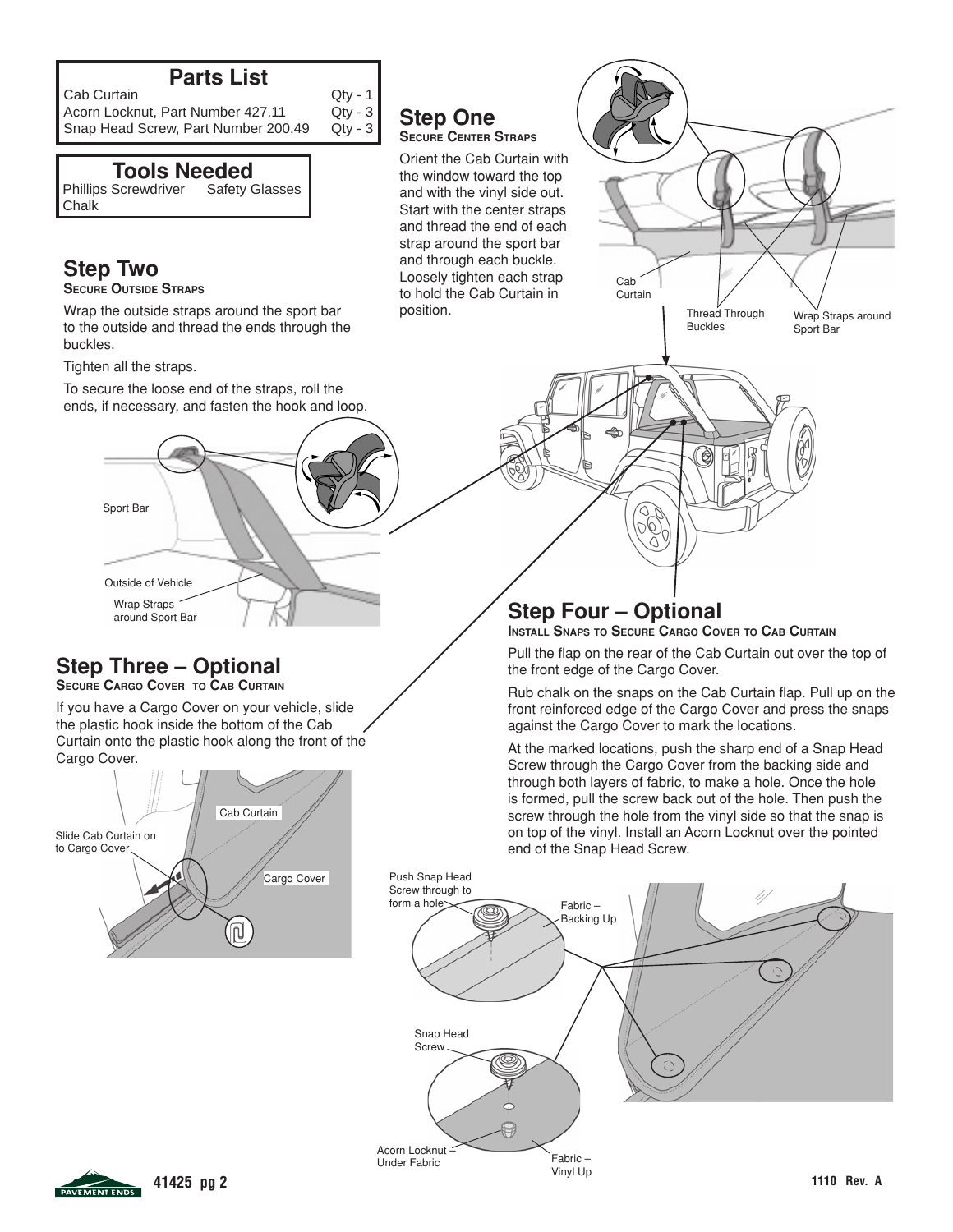## **Parts List**

Cab Curtain Cab Curtain Cab Curtain Care Curtain Care Comm<br>Acorn Locknut, Part Number 427.11 Ctv - 3 Acorn Locknut, Part Number 427.11 Qty - 3<br>Snap Head Screw, Part Number 200.49 Qty - 3 Snap Head Screw, Part Number 200.49

## **Tools Needed**

Phillips Screwdriver Safety Glasses Chalk

# **Step Two**

**SECURE OUTSIDE STRAPS** 

Wrap the outside straps around the sport bar to the outside and thread the ends through the buckles.

Tighten all the straps.

To secure the loose end of the straps, roll the ends, if necessary, and fasten the hook and loop.



# **Step Three – Optional**

**SECURE CARGO COVER TO CAB CURTAIN** 

If you have a Cargo Cover on your vehicle, slide the plastic hook inside the bottom of the Cab Curtain onto the plastic hook along the front of the Cargo Cover.



## **Step One SECURE CENTER STRAPS**

Orient the Cab Curtain with the window toward the top and with the vinyl side out. Start with the center straps and thread the end of each strap around the sport bar and through each buckle. Loosely tighten each strap to hold the Cab Curtain in position.



Cab Curtain

**INSTALL SNAPS TO SECURE CARGO COVER TO CAB CURTAIN**

96

Pull the flap on the rear of the Cab Curtain out over the top of the front edge of the Cargo Cover.

Thread Through Buckles

Rub chalk on the snaps on the Cab Curtain flap. Pull up on the front reinforced edge of the Cargo Cover and press the snaps against the Cargo Cover to mark the locations.

At the marked locations, push the sharp end of a Snap Head Screw through the Cargo Cover from the backing side and through both layers of fabric, to make a hole. Once the hole is formed, pull the screw back out of the hole. Then push the screw through the hole from the vinyl side so that the snap is on top of the vinyl. Install an Acorn Locknut over the pointed end of the Snap Head Screw.





Wrap Straps around Sport Bar